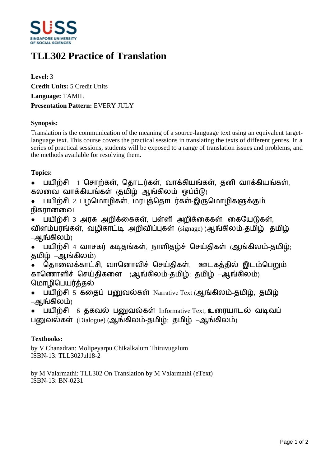

# **TLL302 Practice of Translation**

**Level:** 3 **Credit Units:** 5 Credit Units **Language:** TAMIL **Presentation Pattern:** EVERY JULY

## **Synopsis:**

Translation is the communication of the meaning of a source-language text using an equivalent targetlanguage text. This course covers the practical sessions in translating the texts of different genres. In a series of practical sessions, students will be exposed to a range of translation issues and problems, and the methods available for resolving them.

## **Topics:**

• பயிற்சி 1 சொற்கள், தொடர்கள், வாக்கியங்கள், தனி வாக்கியங்கள், கலவை வாக்கியங்கள் குமிழ் ஆங்கிலம் ஒப்பீடு)

- பயிற்சி 2 பழமொழிகள், மரபுத்தொடர்கள்-இருமொழிகளுக்கும் நிகாானவை
- பயிற்சி 3 அரசு அறிக்கைகள், பள்ளி அறிக்கைகள், கையேடுகள், விளம்பரங்கள், வழிகாட்டி அறிவிப்புகள் (signage) (ஆங்கிலம்-தமிழ்; தமிழ் –ஆங்கிலம்)

• பயிற்சி 4 வாசகர் கடிதங்கள், நாளிதழ்ச் செய்திகள் (ஆங்கிலம்-தமிழ்; தமிழ் –ஆங்கிலம்)

தொலைக்காட்சி, வானொலிச் செய்கிகள், ஊடகக்கில் இடம்பெறும் காணொளிச் செய்திகளை (ஆங்கிலம்-தமிழ்; தமிழ் –ஆங்கிலம்) மொழிபெயர்க்கல்

- பயிற்சி 5 கதைப் பனுவல்கள் Narrative Text (ஆங்கிலம்-தமிழ்; தமிழ் –ஆங்கிலம்)
- பயிற்சி  $6$  தகவல் பனுவல்கள் Informative Text, உரையாடல் வடிவப் பனுவல்கள்  $(Dialogue)$  (ஆங்கிலம்-தமிழ்; தமிழ் –ஆங்கிலம்)

## **Textbooks:**

by V Chanadran: Molipeyarpu Chikalkalum Thiruvugalum ISBN-13: TLL302Jul18-2

by M Valarmathi: TLL302 On Translation by M Valarmathi (eText) ISBN-13: BN-0231